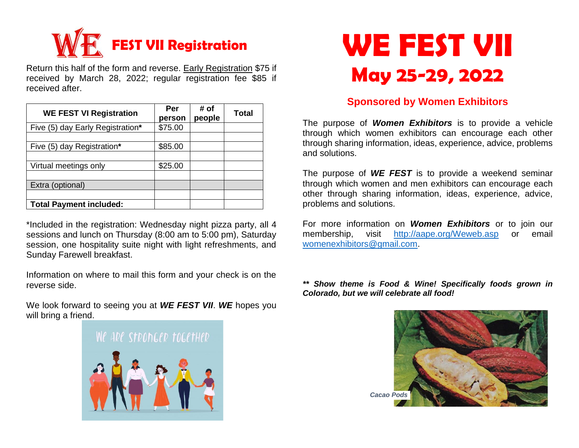

Return this half of the form and reverse. Early Registration \$75 if received by March 28, 2022; regular registration fee \$85 if received after.

| <b>WE FEST VI Registration</b>   | Per<br>person | # of<br>people | <b>Total</b> |
|----------------------------------|---------------|----------------|--------------|
| Five (5) day Early Registration* | \$75.00       |                |              |
| Five (5) day Registration*       | \$85.00       |                |              |
| Virtual meetings only            | \$25.00       |                |              |
| Extra (optional)                 |               |                |              |
| <b>Total Payment included:</b>   |               |                |              |

\*Included in the registration: Wednesday night pizza party, all 4 sessions and lunch on Thursday (8:00 am to 5:00 pm), Saturday session, one hospitality suite night with light refreshments, and Sunday Farewell breakfast.

Information on where to mail this form and your check is on the reverse side.

We look forward to seeing you at *WE FEST VII*. *WE* hopes you will bring a friend.





## **Sponsored by Women Exhibitors**

The purpose of *Women Exhibitors* is to provide a vehicle through which women exhibitors can encourage each other through sharing information, ideas, experience, advice, problems and solutions.

The purpose of *WE FEST* is to provide a weekend seminar through which women and men exhibitors can encourage each other through sharing information, ideas, experience, advice, problems and solutions.

For more information on *Women Exhibitors* or to join our membership, visit <http://aape.org/Weweb.asp> or email [womenexhibitors@gmail.com.](mailto:womenexhibitors@gmail.com)

*\*\* Show theme is Food & Wine! Specifically foods grown in Colorado, but we will celebrate all food!*